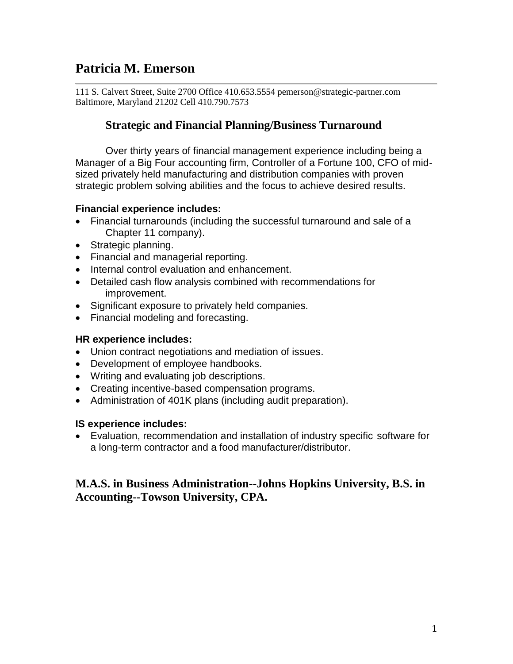# **Patricia M. Emerson**

111 S. Calvert Street, Suite 2700 Office 410.653.5554 pemerson@strategic-partner.com Baltimore, Maryland 21202 Cell 410.790.7573

# **Strategic and Financial Planning/Business Turnaround**

Over thirty years of financial management experience including being a Manager of a Big Four accounting firm, Controller of a Fortune 100, CFO of midsized privately held manufacturing and distribution companies with proven strategic problem solving abilities and the focus to achieve desired results.

# **Financial experience includes:**

- Financial turnarounds (including the successful turnaround and sale of a Chapter 11 company).
- Strategic planning.
- Financial and managerial reporting.
- Internal control evaluation and enhancement.
- Detailed cash flow analysis combined with recommendations for improvement.
- Significant exposure to privately held companies.
- Financial modeling and forecasting.

# **HR experience includes:**

- Union contract negotiations and mediation of issues.
- Development of employee handbooks.
- Writing and evaluating job descriptions.
- Creating incentive-based compensation programs.
- Administration of 401K plans (including audit preparation).

# **IS experience includes:**

 Evaluation, recommendation and installation of industry specific software for a long-term contractor and a food manufacturer/distributor.

# **M.A.S. in Business Administration--Johns Hopkins University, B.S. in Accounting--Towson University, CPA.**